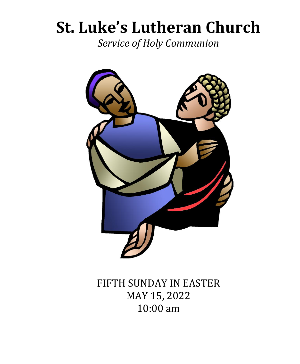# **St. Luke's Lutheran Church**

*Service of Holy Communion*



FIFTH SUNDAY IN EASTER MAY 15, 2022 10:00 am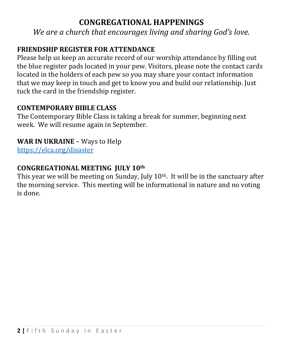# **CONGREGATIONAL HAPPENINGS**

*We are a church that encourages living and sharing God's love.*

# **FRIENDSHIP REGISTER FOR ATTENDANCE**

Please help us keep an accurate record of our worship attendance by filling out the blue register pads located in your pew. Visitors, please note the contact cards located in the holders of each pew so you may share your contact information that we may keep in touch and get to know you and build our relationship. Just tuck the card in the friendship register.

# **CONTEMPORARY BIBLE CLASS**

The Contemporary Bible Class is taking a break for summer, beginning next week. We will resume again in September.

# **WAR IN UKRAINE** – Ways to Help

<https://elca.org/disaster>

# **CONGREGATIONAL MEETING JULY 10th**

This year we will be meeting on Sunday, July 10<sup>th</sup>. It will be in the sanctuary after the morning service. This meeting will be informational in nature and no voting is done.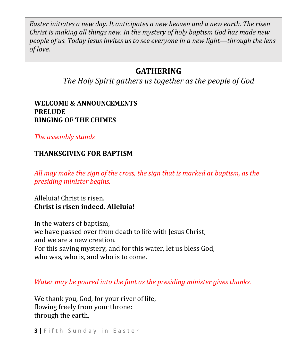*Easter initiates a new day. It anticipates a new heaven and a new earth. The risen Christ is making all things new. In the mystery of holy baptism God has made new people of us. Today Jesus invites us to see everyone in a new light—through the lens of love.*

# **GATHERING**

*The Holy Spirit gathers us together as the people of God*

#### **WELCOME & ANNOUNCEMENTS PRELUDE RINGING OF THE CHIMES**

*The assembly stands*

#### **THANKSGIVING FOR BAPTISM**

*All may make the sign of the cross, the sign that is marked at baptism, as the presiding minister begins.*

Alleluia! Christ is risen. **Christ is risen indeed. Alleluia!**

In the waters of baptism, we have passed over from death to life with Jesus Christ, and we are a new creation. For this saving mystery, and for this water, let us bless God, who was, who is, and who is to come.

*Water may be poured into the font as the presiding minister gives thanks.*

We thank you, God, for your river of life, flowing freely from your throne: through the earth,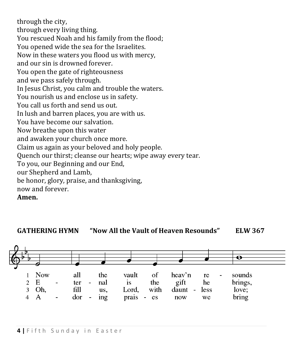through the city, through every living thing. You rescued Noah and his family from the flood; You opened wide the sea for the Israelites. Now in these waters you flood us with mercy, and our sin is drowned forever. You open the gate of righteousness and we pass safely through. In Jesus Christ, you calm and trouble the waters. You nourish us and enclose us in safety. You call us forth and send us out. In lush and barren places, you are with us. You have become our salvation. Now breathe upon this water and awaken your church once more. Claim us again as your beloved and holy people. Quench our thirst; cleanse our hearts; wipe away every tear. To you, our Beginning and our End, our Shepherd and Lamb, be honor, glory, praise, and thanksgiving, now and forever. **Amen.**

**GATHERING HYMN "Now All the Vault of Heaven Resounds" ELW 367**

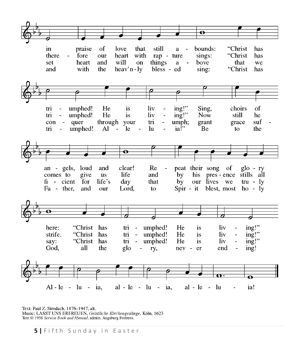

Text: Paul Z. Strodach, 1876-1947, alt. Music: LASST UNS ERFREUEN, Geistliche Kirchengesänge, Köln, 1623 Text © 1958 Service Book and Hymnal, admin. Augsburg Fortress.

**5** Fifth Sunday in Easter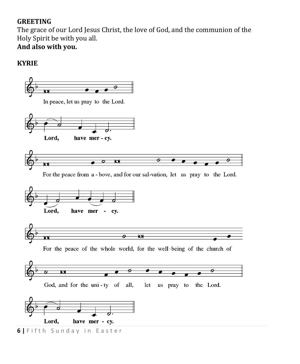## **GREETING**

The grace of our Lord Jesus Christ, the love of God, and the communion of the Holy Spirit be with you all.

# **And also with you.**

# **KYRIE**

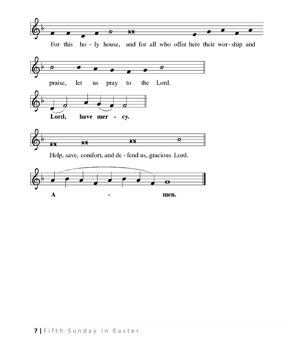

For this ho-ly house, and for all who offer here their wor-ship and





Help, save, comfort, and de - fend us, gracious Lord.

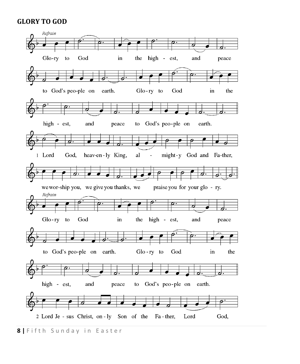#### **GLORY TO GOD**



**8** | Fifth Sunday in Easter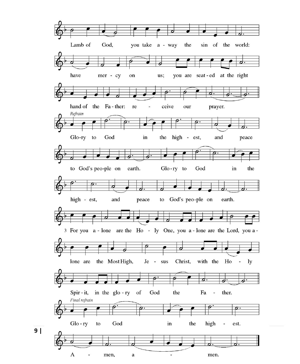Lamb of God, you take a - way the sin of the world: O -0 have mer - cy on us; you are seat-ed at the right <u>d.</u> hand of the Fa-ther: re ceive our prayer.  $\blacksquare$ Refrain e Glo-ry to God in the high - est, and peace earth. Glo-ry to God the to God's peo-ple on  $in$ to God's peo-ple on high - est, and peace earth. 3 For you a - lone are the Ho - ly One, you a - lone are the Lord, you a -<u>ঠ</u> lone are the Most High, Je - sus Christ, with the Ho  $\sim$ ly ø Ð Spir - it, in the glo-ry of God the Fa ther.  $\frac{1}{2}$ Final refrain  $\operatorname{God}$  $Glo$  - ry to in the high  $\blacksquare$ est. ◢ ø ₫. d. A men,  $\bf{a}$  $\overline{\phantom{a}}$ men.  $\blacksquare$ 

**9** | **|**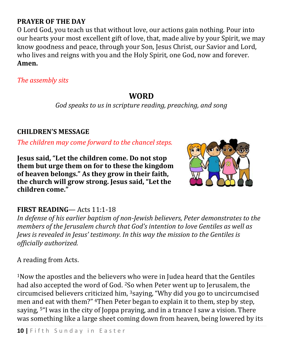# **PRAYER OF THE DAY**

O Lord God, you teach us that without love, our actions gain nothing. Pour into our hearts your most excellent gift of love, that, made alive by your Spirit, we may know goodness and peace, through your Son, Jesus Christ, our Savior and Lord, who lives and reigns with you and the Holy Spirit, one God, now and forever. **Amen.**

*The assembly sits*

# **WORD**

*God speaks to us in scripture reading, preaching, and song*

#### **CHILDREN'S MESSAGE**

*The children may come forward to the chancel steps.*

**Jesus said, "Let the children come. Do not stop them but urge them on for to these the kingdom of heaven belongs." As they grow in their faith, the church will grow strong. Jesus said, "Let the children come."** 



## **FIRST READING**— Acts 11:1-18

*In defense of his earlier baptism of non-Jewish believers, Peter demonstrates to the members of the Jerusalem church that God's intention to love Gentiles as well as Jews is revealed in Jesus' testimony. In this way the mission to the Gentiles is officially authorized.*

A reading from Acts.

<sup>1</sup>Now the apostles and the believers who were in Judea heard that the Gentiles had also accepted the word of God. 2So when Peter went up to Jerusalem, the circumcised believers criticized him, 3saying, "Why did you go to uncircumcised men and eat with them?" <sup>4</sup>Then Peter began to explain it to them, step by step, saying, 5"I was in the city of Joppa praying, and in a trance I saw a vision. There was something like a large sheet coming down from heaven, being lowered by its

**10** | Fifth Sunday in Easter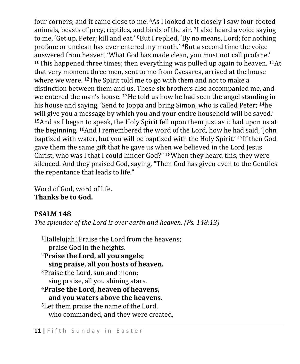four corners; and it came close to me. <sup>6</sup>As I looked at it closely I saw four-footed animals, beasts of prey, reptiles, and birds of the air. 7I also heard a voice saying to me, 'Get up, Peter; kill and eat.' <sup>8</sup>But I replied, 'By no means, Lord; for nothing profane or unclean has ever entered my mouth.' 9But a second time the voice answered from heaven, 'What God has made clean, you must not call profane.' <sup>10</sup>This happened three times; then everything was pulled up again to heaven. <sup>11</sup>At that very moment three men, sent to me from Caesarea, arrived at the house where we were. <sup>12</sup>The Spirit told me to go with them and not to make a distinction between them and us. These six brothers also accompanied me, and we entered the man's house. 13He told us how he had seen the angel standing in his house and saying, 'Send to Joppa and bring Simon, who is called Peter; 14he will give you a message by which you and your entire household will be saved.' <sup>15</sup>And as I began to speak, the Holy Spirit fell upon them just as it had upon us at the beginning. 16And I remembered the word of the Lord, how he had said, 'John baptized with water, but you will be baptized with the Holy Spirit.' 17If then God gave them the same gift that he gave us when we believed in the Lord Jesus Christ, who was I that I could hinder God?" 18When they heard this, they were silenced. And they praised God, saying, "Then God has given even to the Gentiles the repentance that leads to life."

Word of God, word of life. **Thanks be to God.**

# **PSALM 148**

*The splendor of the Lord is over earth and heaven. (Ps. 148:13)*

<sup>1</sup>Hallelujah! Praise the Lord from the heavens; praise God in the heights. <sup>2</sup>**Praise the Lord, all you angels; sing praise, all you hosts of heaven.** <sup>3</sup>Praise the Lord, sun and moon; sing praise, all you shining stars. <sup>4</sup>**Praise the Lord, heaven of heavens, and you waters above the heavens.** <sup>5</sup>Let them praise the name of the Lord, who commanded, and they were created,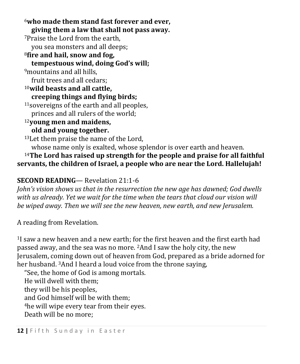<sup>6</sup>**who made them stand fast forever and ever, giving them a law that shall not pass away.** <sup>7</sup>Praise the Lord from the earth, you sea monsters and all deeps; <sup>8</sup>**fire and hail, snow and fog, tempestuous wind, doing God's will;** <sup>9</sup>mountains and all hills, fruit trees and all cedars; <sup>10</sup>**wild beasts and all cattle, creeping things and flying birds;** <sup>11</sup>sovereigns of the earth and all peoples, princes and all rulers of the world; <sup>12</sup>**young men and maidens, old and young together.** <sup>13</sup>Let them praise the name of the Lord, whose name only is exalted, whose splendor is over earth and heaven.

<sup>14</sup>**The Lord has raised up strength for the people and praise for all faithful servants, the children of Israel, a people who are near the Lord. Hallelujah!**

# **SECOND READING**— Revelation 21:1-6

*John's vision shows us that in the resurrection the new age has dawned; God dwells with us already. Yet we wait for the time when the tears that cloud our vision will be wiped away. Then we will see the new heaven, new earth, and new Jerusalem.*

A reading from Revelation.

<sup>1</sup>I saw a new heaven and a new earth; for the first heaven and the first earth had passed away, and the sea was no more. 2And I saw the holy city, the new Jerusalem, coming down out of heaven from God, prepared as a bride adorned for her husband. 3And I heard a loud voice from the throne saying,

"See, the home of God is among mortals. He will dwell with them; they will be his peoples, and God himself will be with them; <sup>4</sup>he will wipe every tear from their eyes. Death will be no more;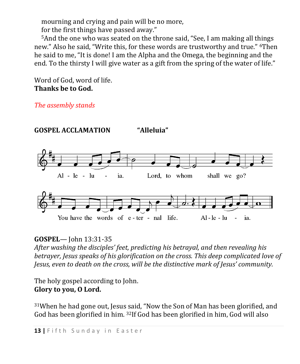mourning and crying and pain will be no more, for the first things have passed away."

<sup>5</sup>And the one who was seated on the throne said, "See, I am making all things new." Also he said, "Write this, for these words are trustworthy and true." 6Then he said to me, "It is done! I am the Alpha and the Omega, the beginning and the end. To the thirsty I will give water as a gift from the spring of the water of life."

Word of God, word of life. **Thanks be to God.**

*The assembly stands*



## **GOSPEL**— John 13:31-35

*After washing the disciples' feet, predicting his betrayal, and then revealing his betrayer, Jesus speaks of his glorification on the cross. This deep complicated love of Jesus, even to death on the cross, will be the distinctive mark of Jesus' community.*

The holy gospel according to John. **Glory to you, O Lord.**

 $31$ When he had gone out, Jesus said, "Now the Son of Man has been glorified, and God has been glorified in him. 32If God has been glorified in him, God will also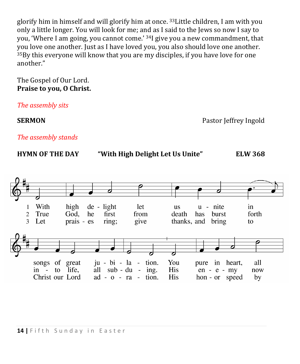glorify him in himself and will glorify him at once. 33Little children, I am with you only a little longer. You will look for me; and as I said to the Jews so now I say to you, 'Where I am going, you cannot come.' 34I give you a new commandment, that you love one another. Just as I have loved you, you also should love one another. <sup>35</sup>By this everyone will know that you are my disciples, if you have love for one another."

#### The Gospel of Our Lord. **Praise to you, O Christ.**

*The assembly sits*

**SERMON Pastor Jeffrey Ingold** 

*The assembly stands*

| <b>HYMN OF THE DAY</b> |
|------------------------|
|------------------------|



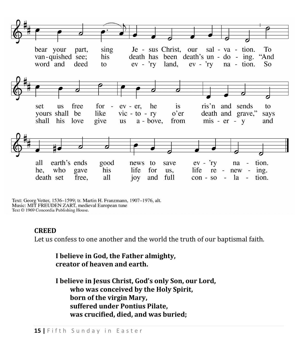

Text: Georg Vetter, 1536-1599; tr. Martin H. Franzmann, 1907-1976, alt. Music: MIT FREUDEN ZART, medieval European tune Text © 1969 Concordia Publishing House.

#### **CREED**

Let us confess to one another and the world the truth of our baptismal faith.

**I believe in God, the Father almighty, creator of heaven and earth.**

**I believe in Jesus Christ, God's only Son, our Lord, who was conceived by the Holy Spirit, born of the virgin Mary, suffered under Pontius Pilate, was crucified, died, and was buried;**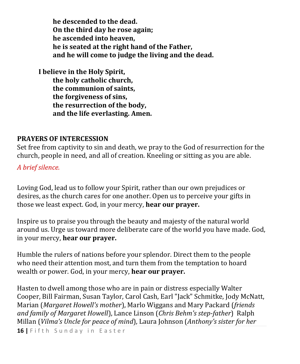**he descended to the dead. On the third day he rose again; he ascended into heaven, he is seated at the right hand of the Father, and he will come to judge the living and the dead.**

**I believe in the Holy Spirit, the holy catholic church, the communion of saints, the forgiveness of sins, the resurrection of the body, and the life everlasting. Amen.**

#### **PRAYERS OF INTERCESSION**

Set free from captivity to sin and death, we pray to the God of resurrection for the church, people in need, and all of creation. Kneeling or sitting as you are able.

*A brief silence.*

Loving God, lead us to follow your Spirit, rather than our own prejudices or desires, as the church cares for one another. Open us to perceive your gifts in those we least expect. God, in your mercy, **hear our prayer.**

Inspire us to praise you through the beauty and majesty of the natural world around us. Urge us toward more deliberate care of the world you have made. God, in your mercy, **hear our prayer.**

Humble the rulers of nations before your splendor. Direct them to the people who need their attention most, and turn them from the temptation to hoard wealth or power. God, in your mercy, **hear our prayer.**

Hasten to dwell among those who are in pain or distress especially Walter Cooper, Bill Fairman, Susan Taylor, Carol Cash, Earl "Jack" Schmitke, Jody McNatt, Marian (*Margaret Howell's mother*), Marlo Wiggans and Mary Packard (*friends and family of Margaret Howell*), Lance Linson (*Chris Behm's step-father*) Ralph Millan (*Vilma's Uncle for peace of mind*), Laura Johnson (*Anthony's sister for her* 

16 | Fifth Sunday in Easter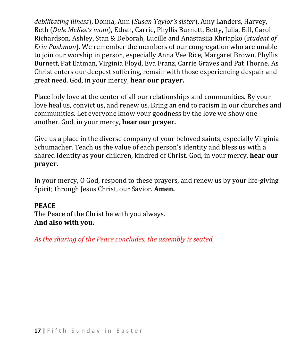*debilitating illness*), Donna, Ann (*Susan Taylor's sister*), Amy Landers, Harvey, Beth (*Dale McKee's mom*), Ethan, Carrie, Phyllis Burnett, Betty, Julia, Bill, Carol Richardson, Ashley, Stan & Deborah, Lucille and Anastasiia Khriapko (*student of Erin Pushman*). We remember the members of our congregation who are unable to join our worship in person, especially Anna Vee Rice, Margaret Brown, Phyllis Burnett, Pat Eatman, Virginia Floyd, Eva Franz, Carrie Graves and Pat Thorne. As Christ enters our deepest suffering, remain with those experiencing despair and great need. God, in your mercy, **hear our prayer.**

Place holy love at the center of all our relationships and communities. By your love heal us, convict us, and renew us. Bring an end to racism in our churches and communities. Let everyone know your goodness by the love we show one another. God, in your mercy, **hear our prayer.**

Give us a place in the diverse company of your beloved saints, especially Virginia Schumacher. Teach us the value of each person's identity and bless us with a shared identity as your children, kindred of Christ. God, in your mercy, **hear our prayer.**

In your mercy, O God, respond to these prayers, and renew us by your life-giving Spirit; through Jesus Christ, our Savior. **Amen.**

#### **PEACE**

The Peace of the Christ be with you always. **And also with you.**

*As the sharing of the Peace concludes, the assembly is seated.*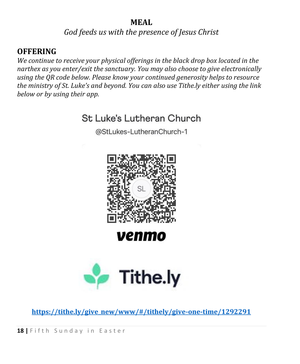# **MEAL**

*God feeds us with the presence of Jesus Christ*

# **OFFERING**

*We continue to receive your physical offerings in the black drop box located in the narthex as you enter/exit the sanctuary. You may also choose to give electronically using the QR code below. Please know your continued generosity helps to resource the ministry of St. Luke's and beyond. You can also use Tithe.ly either using the link below or by using their app.*



@StLukes-LutheranChurch-1



# venma



**[https://tithe.ly/give\\_new/www/#/tithely/give-one-time/1292291](https://tithe.ly/give_new/www/#/tithely/give-one-time/1292291)**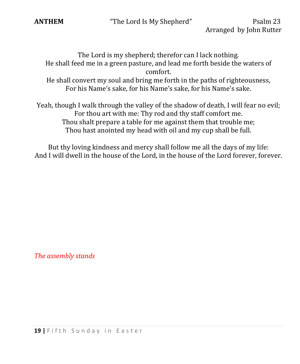

**ANTHEM** "The Lord Is My Shepherd" Psalm 23

The Lord is my shepherd; therefor can I lack nothing. He shall feed me in a green pasture, and lead me forth beside the waters of comfort.

He shall convert my soul and bring me forth in the paths of righteousness, For his Name's sake, for his Name's sake, for his Name's sake.

Yeah, though I walk through the valley of the shadow of death, I will fear no evil; For thou art with me: Thy rod and thy staff comfort me. Thou shalt prepare a table for me against them that trouble me; Thou hast anointed my head with oil and my cup shall be full.

But thy loving kindness and mercy shall follow me all the days of my life: And I will dwell in the house of the Lord, in the house of the Lord forever, forever.

*The assembly stands*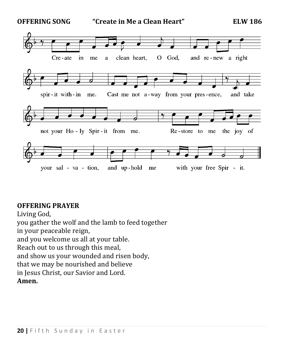

#### **OFFERING PRAYER**

Living God, you gather the wolf and the lamb to feed together in your peaceable reign, and you welcome us all at your table. Reach out to us through this meal, and show us your wounded and risen body, that we may be nourished and believe in Jesus Christ, our Savior and Lord. **Amen.**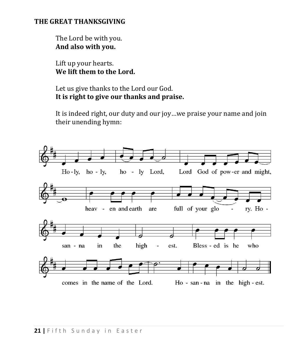#### **THE GREAT THANKSGIVING**

The Lord be with you. **And also with you.**

Lift up your hearts. **We lift them to the Lord.**

Let us give thanks to the Lord our God. **It is right to give our thanks and praise.** 

It is indeed right, our duty and our joy…we praise your name and join their unending hymn:

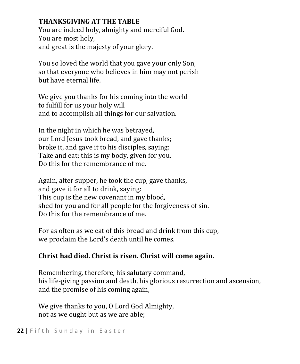# **THANKSGIVING AT THE TABLE**

You are indeed holy, almighty and merciful God. You are most holy, and great is the majesty of your glory.

You so loved the world that you gave your only Son, so that everyone who believes in him may not perish but have eternal life.

We give you thanks for his coming into the world to fulfill for us your holy will and to accomplish all things for our salvation.

In the night in which he was betrayed, our Lord Jesus took bread, and gave thanks; broke it, and gave it to his disciples, saying: Take and eat; this is my body, given for you. Do this for the remembrance of me.

Again, after supper, he took the cup, gave thanks, and gave it for all to drink, saying: This cup is the new covenant in my blood, shed for you and for all people for the forgiveness of sin. Do this for the remembrance of me.

For as often as we eat of this bread and drink from this cup, we proclaim the Lord's death until he comes.

# **Christ had died. Christ is risen. Christ will come again.**

Remembering, therefore, his salutary command, his life-giving passion and death, his glorious resurrection and ascension, and the promise of his coming again,

We give thanks to you, O Lord God Almighty, not as we ought but as we are able;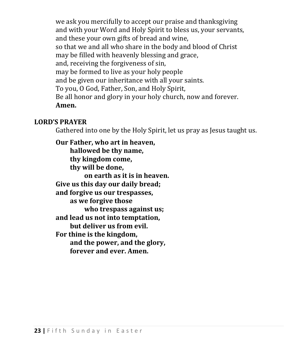we ask you mercifully to accept our praise and thanksgiving and with your Word and Holy Spirit to bless us, your servants, and these your own gifts of bread and wine, so that we and all who share in the body and blood of Christ may be filled with heavenly blessing and grace, and, receiving the forgiveness of sin, may be formed to live as your holy people and be given our inheritance with all your saints. To you, O God, Father, Son, and Holy Spirit, Be all honor and glory in your holy church, now and forever. **Amen.**

#### **LORD'S PRAYER**

Gathered into one by the Holy Spirit, let us pray as Jesus taught us.

**Our Father, who art in heaven, hallowed be thy name, thy kingdom come, thy will be done, on earth as it is in heaven. Give us this day our daily bread; and forgive us our trespasses, as we forgive those who trespass against us; and lead us not into temptation, but deliver us from evil. For thine is the kingdom, and the power, and the glory, forever and ever. Amen.**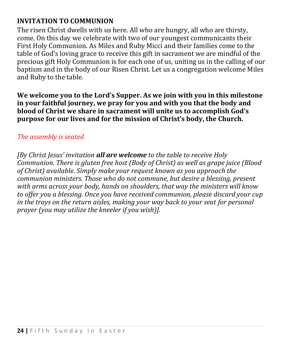# **INVITATION TO COMMUNION**

The risen Christ dwells with us here. All who are hungry, all who are thirsty, come. On this day we celebrate with two of our youngest communicants their First Holy Communion. As Miles and Ruby Micci and their families come to the table of God's loving grace to receive this gift in sacrament we are mindful of the precious gift Holy Communion is for each one of us, uniting us in the calling of our baptism and in the body of our Risen Christ. Let us a congregation welcome Miles and Ruby to the table.

**We welcome you to the Lord's Supper. As we join with you in this milestone in your faithful journey, we pray for you and with you that the body and blood of Christ we share in sacrament will unite us to accomplish God's purpose for our lives and for the mission of Christ's body, the Church.** 

## *The assembly is seated*

*[By Christ Jesus' invitation all are welcome to the table to receive Holy Communion. There is gluten free host (Body of Christ) as well as grape juice (Blood of Christ) available. Simply make your request known as you approach the communion ministers. Those who do not commune, but desire a blessing, present with arms across your body, hands on shoulders, that way the ministers will know to offer you a blessing. Once you have received communion, please discard your cup in the trays on the return aisles, making your way back to your seat for personal prayer (you may utilize the kneeler if you wish)].*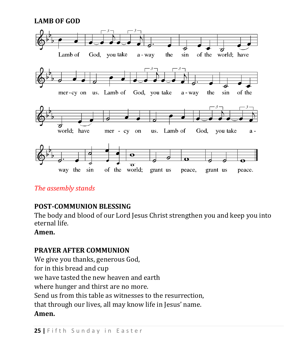**LAMB OF GOD**



## *The assembly stands*

# **POST-COMMUNION BLESSING**

The body and blood of our Lord Jesus Christ strengthen you and keep you into eternal life.

#### **Amen.**

## **PRAYER AFTER COMMUNION**

We give you thanks, generous God, for in this bread and cup we have tasted the new heaven and earth where hunger and thirst are no more. Send us from this table as witnesses to the resurrection, that through our lives, all may know life in Jesus' name. **Amen.**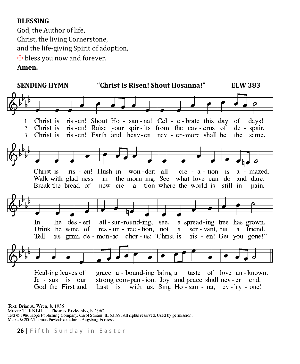#### **BLESSING**

God, the Author of life, Christ, the living Cornerstone, and the life-giving Spirit of adoption,  $+$  bless you now and forever. **Amen.**



Text: Brian A. Wren, b. 1936 Music: TURNBULL, Thomas Pavlechko, b. 1962 Text © 1986 Hope Publishing Company, Carol Stream, IL 60188. All rights reserved. Used by permission. Music © 2006 Thomas Pavlechko, admin. Augsburg Fortress.

**26 |** F i f t h S u n d a y i n E a s t e r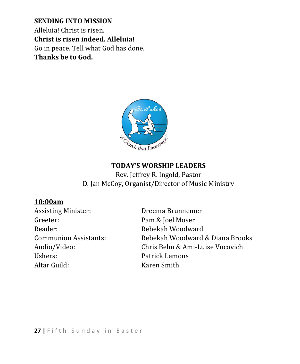**SENDING INTO MISSION** Alleluia! Christ is risen. **Christ is risen indeed. Alleluia!** Go in peace. Tell what God has done. **Thanks be to God.**



#### **TODAY'S WORSHIP LEADERS**

Rev. Jeffrey R. Ingold, Pastor D. Jan McCoy, Organist/Director of Music Ministry

#### **10:00am**

Assisting Minister: Dreema Brunnemer Greeter: Pam & Joel Moser Reader: Rebekah Woodward Ushers: Patrick Lemons Altar Guild: Karen Smith

Communion Assistants: Rebekah Woodward & Diana Brooks Audio/Video: Chris Belm & Ami-Luise Vucovich